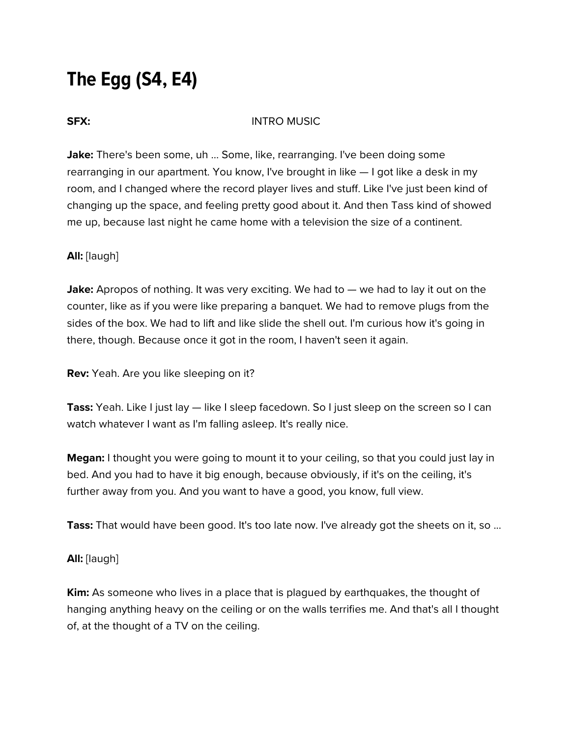# **The Egg (S4, E4)**

#### **SFX:** INTRO MUSIC

**Jake:** There's been some, uh ... Some, like, rearranging. I've been doing some rearranging in our apartment. You know, I've brought in like — I got like a desk in my room, and I changed where the record player lives and stuff. Like I've just been kind of changing up the space, and feeling pretty good about it. And then Tass kind of showed me up, because last night he came home with a television the size of a continent.

### **All:** [laugh]

**Jake:** Apropos of nothing. It was very exciting. We had to — we had to lay it out on the counter, like as if you were like preparing a banquet. We had to remove plugs from the sides of the box. We had to lift and like slide the shell out. I'm curious how it's going in there, though. Because once it got in the room, I haven't seen it again.

**Rev:** Yeah. Are you like sleeping on it?

**Tass:** Yeah. Like I just lay — like I sleep facedown. So I just sleep on the screen so I can watch whatever I want as I'm falling asleep. It's really nice.

**Megan:** I thought you were going to mount it to your ceiling, so that you could just lay in bed. And you had to have it big enough, because obviously, if it's on the ceiling, it's further away from you. And you want to have a good, you know, full view.

**Tass:** That would have been good. It's too late now. I've already got the sheets on it, so ...

### **All:** [laugh]

**Kim:** As someone who lives in a place that is plagued by earthquakes, the thought of hanging anything heavy on the ceiling or on the walls terrifies me. And that's all I thought of, at the thought of a TV on the ceiling.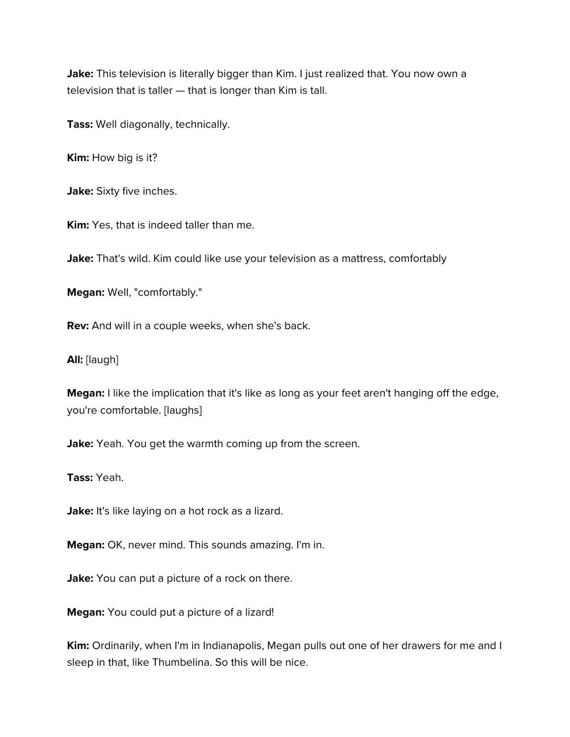Jake: This television is literally bigger than Kim. I just realized that. You now own a television that is taller — that is longer than Kim is tall.

**Tass:** Well diagonally, technically.

**Kim:** How big is it?

**Jake:** Sixty five inches.

**Kim:** Yes, that is indeed taller than me.

Jake: That's wild. Kim could like use your television as a mattress, comfortably

**Megan:** Well, "comfortably."

**Rev:** And will in a couple weeks, when she's back.

**All:** [laugh]

**Megan:** I like the implication that it's like as long as your feet aren't hanging off the edge, you're comfortable. [laughs]

**Jake:** Yeah. You get the warmth coming up from the screen.

**Tass:** Yeah.

Jake: It's like laying on a hot rock as a lizard.

**Megan:** OK, never mind. This sounds amazing. I'm in.

Jake: You can put a picture of a rock on there.

**Megan:** You could put a picture of a lizard!

**Kim:** Ordinarily, when I'm in Indianapolis, Megan pulls out one of her drawers for me and I sleep in that, like Thumbelina. So this will be nice.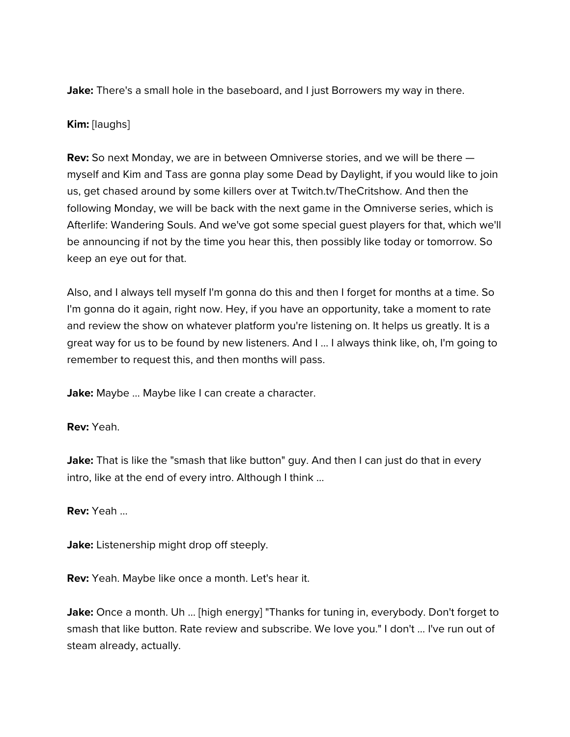**Jake:** There's a small hole in the baseboard, and I just Borrowers my way in there.

## **Kim:** [laughs]

**Rev:** So next Monday, we are in between Omniverse stories, and we will be there myself and Kim and Tass are gonna play some Dead by Daylight, if you would like to join us, get chased around by some killers over at Twitch.tv/TheCritshow. And then the following Monday, we will be back with the next game in the Omniverse series, which is Afterlife: Wandering Souls. And we've got some special guest players for that, which we'll be announcing if not by the time you hear this, then possibly like today or tomorrow. So keep an eye out for that.

Also, and I always tell myself I'm gonna do this and then I forget for months at a time. So I'm gonna do it again, right now. Hey, if you have an opportunity, take a moment to rate and review the show on whatever platform you're listening on. It helps us greatly. It is a great way for us to be found by new listeners. And I ... I always think like, oh, I'm going to remember to request this, and then months will pass.

Jake: Maybe ... Maybe like I can create a character.

**Rev:** Yeah.

Jake: That is like the "smash that like button" guy. And then I can just do that in every intro, like at the end of every intro. Although I think ...

**Rev:** Yeah ...

**Jake:** Listenership might drop off steeply.

**Rev:** Yeah. Maybe like once a month. Let's hear it.

Jake: Once a month. Uh ... [high energy] "Thanks for tuning in, everybody. Don't forget to smash that like button. Rate review and subscribe. We love you." I don't ... I've run out of steam already, actually.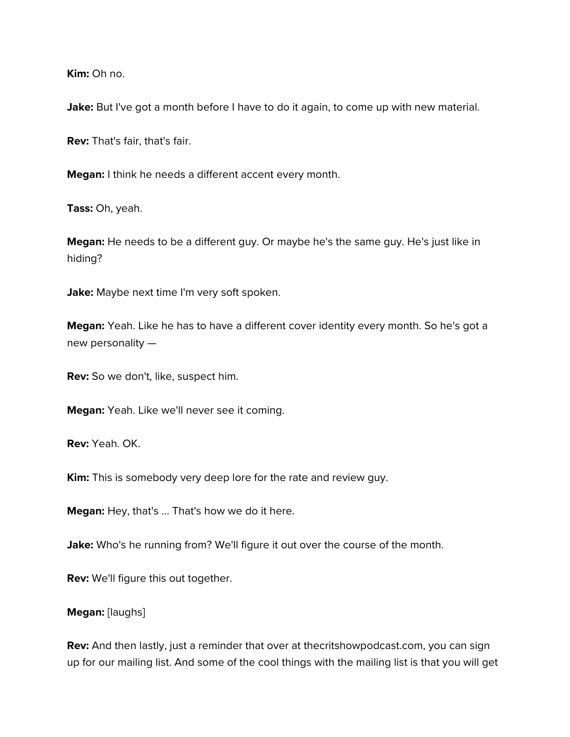**Kim:** Oh no.

Jake: But I've got a month before I have to do it again, to come up with new material.

**Rev:** That's fair, that's fair.

**Megan:** I think he needs a different accent every month.

**Tass:** Oh, yeah.

**Megan:** He needs to be a different guy. Or maybe he's the same guy. He's just like in hiding?

**Jake:** Maybe next time I'm very soft spoken.

**Megan:** Yeah. Like he has to have a different cover identity every month. So he's got a new personality —

**Rev:** So we don't, like, suspect him.

**Megan:** Yeah. Like we'll never see it coming.

**Rev:** Yeah. OK.

**Kim:** This is somebody very deep lore for the rate and review guy.

**Megan:** Hey, that's ... That's how we do it here.

**Jake:** Who's he running from? We'll figure it out over the course of the month.

**Rev:** We'll figure this out together.

#### **Megan:** [laughs]

**Rev:** And then lastly, just a reminder that over at thecritshowpodcast.com, you can sign up for our mailing list. And some of the cool things with the mailing list is that you will get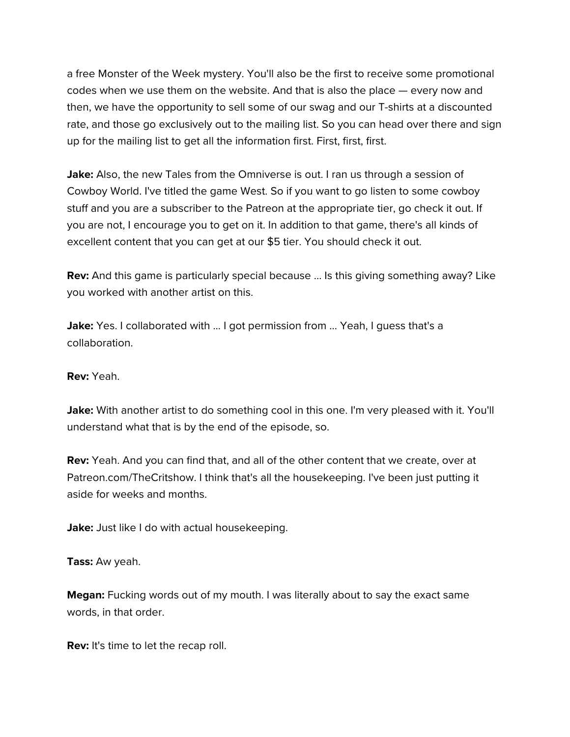a free Monster of the Week mystery. You'll also be the first to receive some promotional codes when we use them on the website. And that is also the place — every now and then, we have the opportunity to sell some of our swag and our T-shirts at a discounted rate, and those go exclusively out to the mailing list. So you can head over there and sign up for the mailing list to get all the information first. First, first, first.

**Jake:** Also, the new Tales from the Omniverse is out. I ran us through a session of Cowboy World. I've titled the game West. So if you want to go listen to some cowboy stuff and you are a subscriber to the Patreon at the appropriate tier, go check it out. If you are not, I encourage you to get on it. In addition to that game, there's all kinds of excellent content that you can get at our \$5 tier. You should check it out.

**Rev:** And this game is particularly special because ... Is this giving something away? Like you worked with another artist on this.

**Jake:** Yes. I collaborated with ... I got permission from ... Yeah, I guess that's a collaboration.

**Rev:** Yeah.

**Jake:** With another artist to do something cool in this one. I'm very pleased with it. You'll understand what that is by the end of the episode, so.

**Rev:** Yeah. And you can find that, and all of the other content that we create, over at Patreon.com/TheCritshow. I think that's all the housekeeping. I've been just putting it aside for weeks and months.

**Jake:** Just like I do with actual housekeeping.

**Tass:** Aw yeah.

**Megan:** Fucking words out of my mouth. I was literally about to say the exact same words, in that order.

**Rev:** It's time to let the recap roll.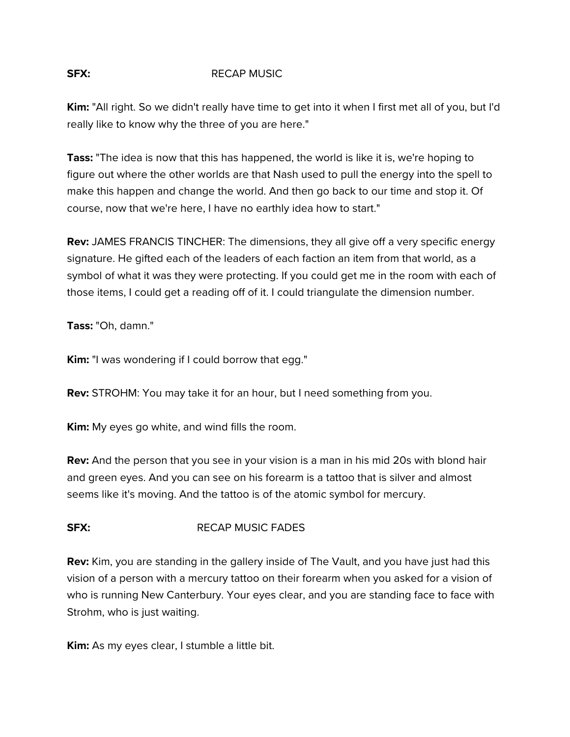# **SFX:** RECAP MUSIC

**Kim:** "All right. So we didn't really have time to get into it when I first met all of you, but I'd really like to know why the three of you are here."

**Tass:** "The idea is now that this has happened, the world is like it is, we're hoping to figure out where the other worlds are that Nash used to pull the energy into the spell to make this happen and change the world. And then go back to our time and stop it. Of course, now that we're here, I have no earthly idea how to start."

**Rev:** JAMES FRANCIS TINCHER: The dimensions, they all give off a very specific energy signature. He gifted each of the leaders of each faction an item from that world, as a symbol of what it was they were protecting. If you could get me in the room with each of those items, I could get a reading off of it. I could triangulate the dimension number.

**Tass:** "Oh, damn."

**Kim:** "I was wondering if I could borrow that egg."

**Rev:** STROHM: You may take it for an hour, but I need something from you.

**Kim:** My eyes go white, and wind fills the room.

**Rev:** And the person that you see in your vision is a man in his mid 20s with blond hair and green eyes. And you can see on his forearm is a tattoo that is silver and almost seems like it's moving. And the tattoo is of the atomic symbol for mercury.

# **SFX:** RECAP MUSIC FADES

**Rev:** Kim, you are standing in the gallery inside of The Vault, and you have just had this vision of a person with a mercury tattoo on their forearm when you asked for a vision of who is running New Canterbury. Your eyes clear, and you are standing face to face with Strohm, who is just waiting.

**Kim:** As my eyes clear, I stumble a little bit.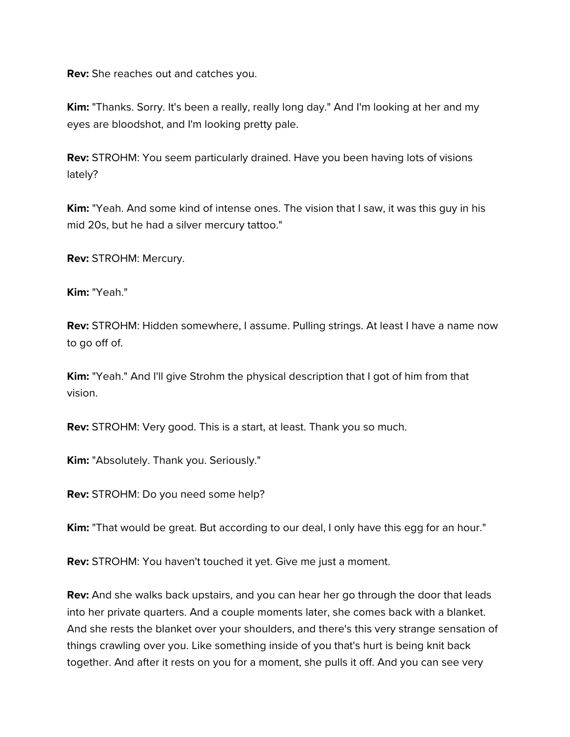**Rev:** She reaches out and catches you.

**Kim:** "Thanks. Sorry. It's been a really, really long day." And I'm looking at her and my eyes are bloodshot, and I'm looking pretty pale.

**Rev:** STROHM: You seem particularly drained. Have you been having lots of visions lately?

**Kim:** "Yeah. And some kind of intense ones. The vision that I saw, it was this guy in his mid 20s, but he had a silver mercury tattoo."

**Rev:** STROHM: Mercury.

**Kim:** "Yeah."

**Rev:** STROHM: Hidden somewhere, I assume. Pulling strings. At least I have a name now to go off of.

**Kim:** "Yeah." And I'll give Strohm the physical description that I got of him from that vision.

**Rev:** STROHM: Very good. This is a start, at least. Thank you so much.

**Kim:** "Absolutely. Thank you. Seriously."

**Rev:** STROHM: Do you need some help?

**Kim:** "That would be great. But according to our deal, I only have this egg for an hour."

**Rev:** STROHM: You haven't touched it yet. Give me just a moment.

**Rev:** And she walks back upstairs, and you can hear her go through the door that leads into her private quarters. And a couple moments later, she comes back with a blanket. And she rests the blanket over your shoulders, and there's this very strange sensation of things crawling over you. Like something inside of you that's hurt is being knit back together. And after it rests on you for a moment, she pulls it off. And you can see very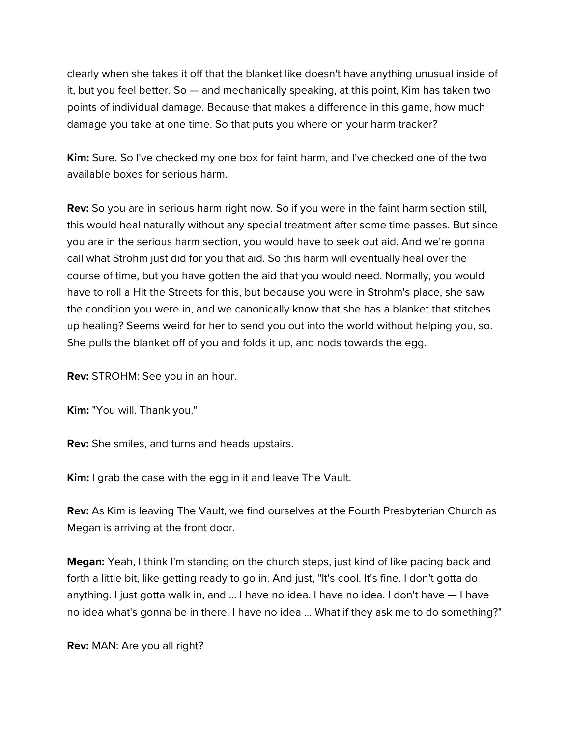clearly when she takes it off that the blanket like doesn't have anything unusual inside of it, but you feel better. So — and mechanically speaking, at this point, Kim has taken two points of individual damage. Because that makes a difference in this game, how much damage you take at one time. So that puts you where on your harm tracker?

**Kim:** Sure. So I've checked my one box for faint harm, and I've checked one of the two available boxes for serious harm.

**Rev:** So you are in serious harm right now. So if you were in the faint harm section still, this would heal naturally without any special treatment after some time passes. But since you are in the serious harm section, you would have to seek out aid. And we're gonna call what Strohm just did for you that aid. So this harm will eventually heal over the course of time, but you have gotten the aid that you would need. Normally, you would have to roll a Hit the Streets for this, but because you were in Strohm's place, she saw the condition you were in, and we canonically know that she has a blanket that stitches up healing? Seems weird for her to send you out into the world without helping you, so. She pulls the blanket off of you and folds it up, and nods towards the egg.

**Rev:** STROHM: See you in an hour.

**Kim:** "You will. Thank you."

**Rev:** She smiles, and turns and heads upstairs.

**Kim:** I grab the case with the egg in it and leave The Vault.

**Rev:** As Kim is leaving The Vault, we find ourselves at the Fourth Presbyterian Church as Megan is arriving at the front door.

**Megan:** Yeah, I think I'm standing on the church steps, just kind of like pacing back and forth a little bit, like getting ready to go in. And just, "It's cool. It's fine. I don't gotta do anything. I just gotta walk in, and ... I have no idea. I have no idea. I don't have — I have no idea what's gonna be in there. I have no idea ... What if they ask me to do something?"

**Rev:** MAN: Are you all right?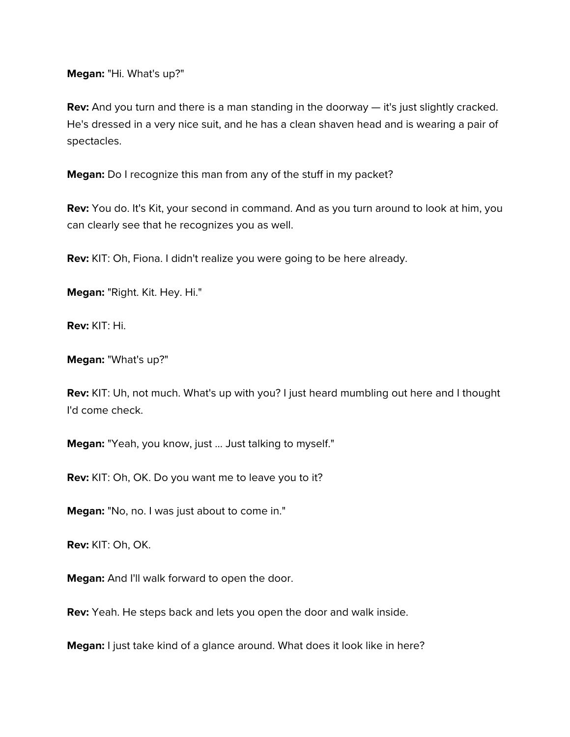**Megan:** "Hi. What's up?"

**Rev:** And you turn and there is a man standing in the doorway — it's just slightly cracked. He's dressed in a very nice suit, and he has a clean shaven head and is wearing a pair of spectacles.

**Megan:** Do I recognize this man from any of the stuff in my packet?

**Rev:** You do. It's Kit, your second in command. And as you turn around to look at him, you can clearly see that he recognizes you as well.

**Rev:** KIT: Oh, Fiona. I didn't realize you were going to be here already.

**Megan:** "Right. Kit. Hey. Hi."

**Rev:** KIT: Hi.

**Megan:** "What's up?"

**Rev:** KIT: Uh, not much. What's up with you? I just heard mumbling out here and I thought I'd come check.

**Megan:** "Yeah, you know, just ... Just talking to myself."

**Rev:** KIT: Oh, OK. Do you want me to leave you to it?

**Megan:** "No, no. I was just about to come in."

**Rev:** KIT: Oh, OK.

**Megan:** And I'll walk forward to open the door.

**Rev:** Yeah. He steps back and lets you open the door and walk inside.

**Megan:** I just take kind of a glance around. What does it look like in here?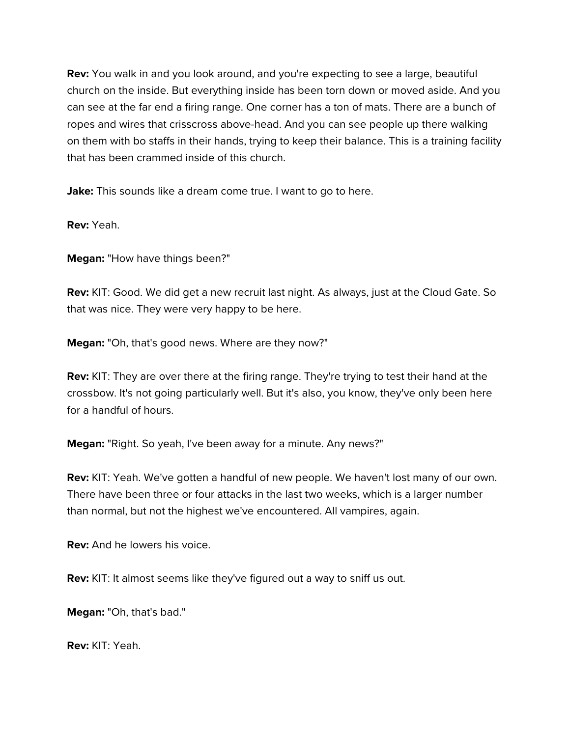**Rev:** You walk in and you look around, and you're expecting to see a large, beautiful church on the inside. But everything inside has been torn down or moved aside. And you can see at the far end a firing range. One corner has a ton of mats. There are a bunch of ropes and wires that crisscross above-head. And you can see people up there walking on them with bo staffs in their hands, trying to keep their balance. This is a training facility that has been crammed inside of this church.

**Jake:** This sounds like a dream come true. I want to go to here.

**Rev:** Yeah.

**Megan:** "How have things been?"

**Rev:** KIT: Good. We did get a new recruit last night. As always, just at the Cloud Gate. So that was nice. They were very happy to be here.

**Megan:** "Oh, that's good news. Where are they now?"

**Rev:** KIT: They are over there at the firing range. They're trying to test their hand at the crossbow. It's not going particularly well. But it's also, you know, they've only been here for a handful of hours.

**Megan:** "Right. So yeah, I've been away for a minute. Any news?"

**Rev:** KIT: Yeah. We've gotten a handful of new people. We haven't lost many of our own. There have been three or four attacks in the last two weeks, which is a larger number than normal, but not the highest we've encountered. All vampires, again.

**Rev:** And he lowers his voice.

**Rev:** KIT: It almost seems like they've figured out a way to sniff us out.

**Megan:** "Oh, that's bad."

**Rev:** KIT: Yeah.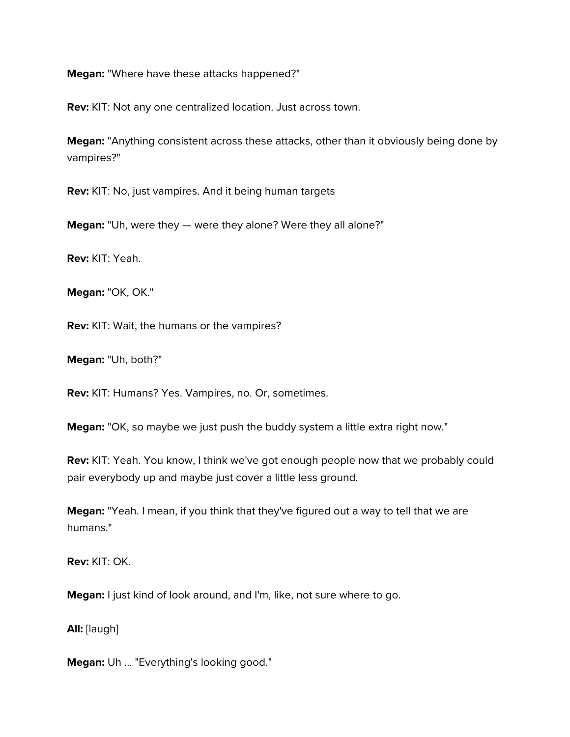**Megan:** "Where have these attacks happened?"

**Rev:** KIT: Not any one centralized location. Just across town.

**Megan:** "Anything consistent across these attacks, other than it obviously being done by vampires?"

**Rev:** KIT: No, just vampires. And it being human targets

**Megan:** "Uh, were they — were they alone? Were they all alone?"

**Rev:** KIT: Yeah.

**Megan:** "OK, OK."

**Rev:** KIT: Wait, the humans or the vampires?

**Megan:** "Uh, both?"

**Rev:** KIT: Humans? Yes. Vampires, no. Or, sometimes.

**Megan:** "OK, so maybe we just push the buddy system a little extra right now."

**Rev:** KIT: Yeah. You know, I think we've got enough people now that we probably could pair everybody up and maybe just cover a little less ground.

**Megan:** "Yeah. I mean, if you think that they've figured out a way to tell that we are humans."

**Rev:** KIT: OK.

**Megan:** I just kind of look around, and I'm, like, not sure where to go.

**All:** [laugh]

**Megan:** Uh ... "Everything's looking good."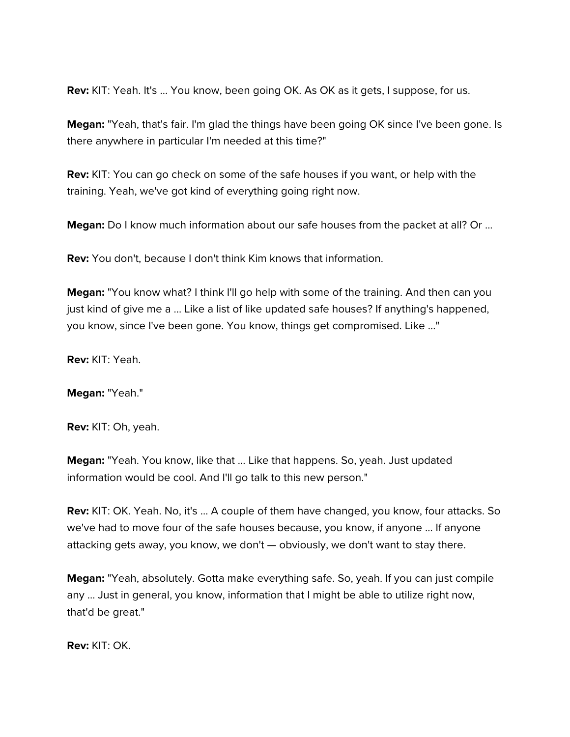**Rev:** KIT: Yeah. It's ... You know, been going OK. As OK as it gets, I suppose, for us.

**Megan:** "Yeah, that's fair. I'm glad the things have been going OK since I've been gone. Is there anywhere in particular I'm needed at this time?"

**Rev:** KIT: You can go check on some of the safe houses if you want, or help with the training. Yeah, we've got kind of everything going right now.

**Megan:** Do I know much information about our safe houses from the packet at all? Or ...

**Rev:** You don't, because I don't think Kim knows that information.

**Megan:** "You know what? I think I'll go help with some of the training. And then can you just kind of give me a ... Like a list of like updated safe houses? If anything's happened, you know, since I've been gone. You know, things get compromised. Like ..."

**Rev:** KIT: Yeah.

**Megan:** "Yeah."

**Rev:** KIT: Oh, yeah.

**Megan:** "Yeah. You know, like that ... Like that happens. So, yeah. Just updated information would be cool. And I'll go talk to this new person."

**Rev:** KIT: OK. Yeah. No, it's ... A couple of them have changed, you know, four attacks. So we've had to move four of the safe houses because, you know, if anyone ... If anyone attacking gets away, you know, we don't — obviously, we don't want to stay there.

**Megan:** "Yeah, absolutely. Gotta make everything safe. So, yeah. If you can just compile any ... Just in general, you know, information that I might be able to utilize right now, that'd be great."

**Rev:** KIT: OK.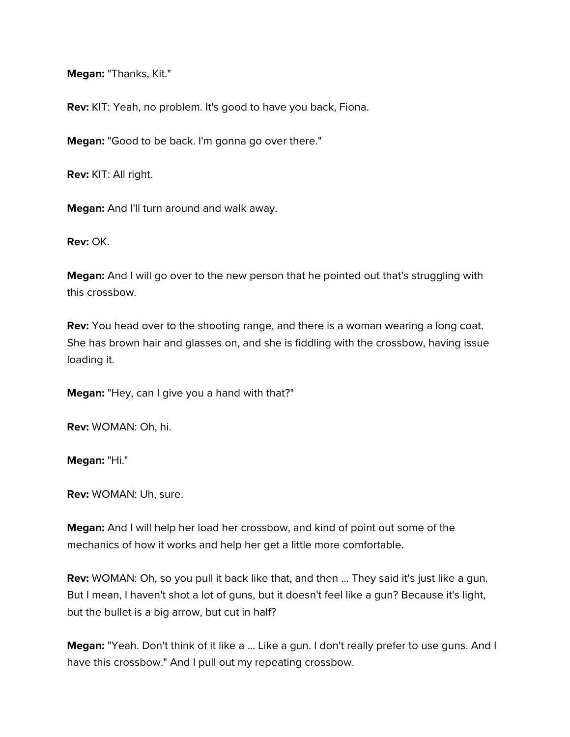**Megan:** "Thanks, Kit."

**Rev:** KIT: Yeah, no problem. It's good to have you back, Fiona.

**Megan:** "Good to be back. I'm gonna go over there."

**Rev:** KIT: All right.

**Megan:** And I'll turn around and walk away.

**Rev:** OK.

**Megan:** And I will go over to the new person that he pointed out that's struggling with this crossbow.

**Rev:** You head over to the shooting range, and there is a woman wearing a long coat. She has brown hair and glasses on, and she is fiddling with the crossbow, having issue loading it.

**Megan:** "Hey, can I give you a hand with that?"

**Rev:** WOMAN: Oh, hi.

**Megan:** "Hi."

**Rev:** WOMAN: Uh, sure.

**Megan:** And I will help her load her crossbow, and kind of point out some of the mechanics of how it works and help her get a little more comfortable.

**Rev:** WOMAN: Oh, so you pull it back like that, and then ... They said it's just like a gun. But I mean, I haven't shot a lot of guns, but it doesn't feel like a gun? Because it's light, but the bullet is a big arrow, but cut in half?

**Megan:** "Yeah. Don't think of it like a ... Like a gun. I don't really prefer to use guns. And I have this crossbow." And I pull out my repeating crossbow.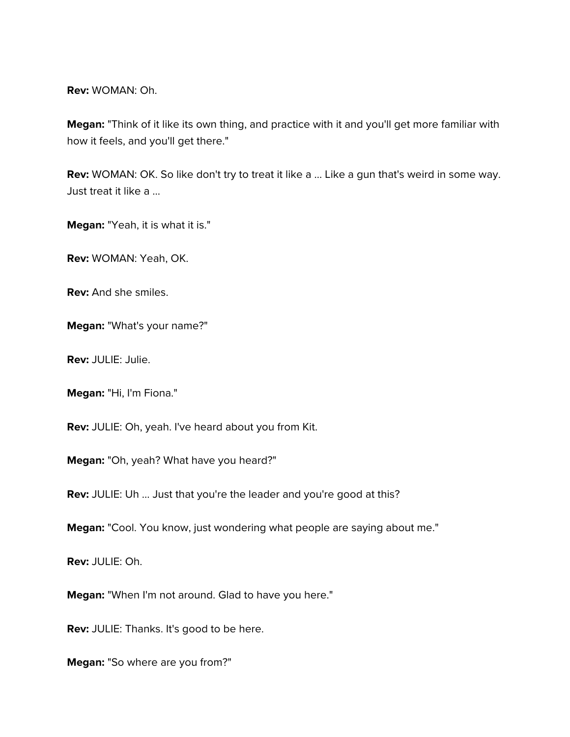**Rev:** WOMAN: Oh.

**Megan:** "Think of it like its own thing, and practice with it and you'll get more familiar with how it feels, and you'll get there."

**Rev:** WOMAN: OK. So like don't try to treat it like a ... Like a gun that's weird in some way. Just treat it like a ...

**Megan:** "Yeah, it is what it is."

**Rev:** WOMAN: Yeah, OK.

**Rev:** And she smiles.

**Megan:** "What's your name?"

**Rev:** JULIE: Julie.

**Megan:** "Hi, I'm Fiona."

**Rev:** JULIE: Oh, yeah. I've heard about you from Kit.

**Megan:** "Oh, yeah? What have you heard?"

**Rev:** JULIE: Uh ... Just that you're the leader and you're good at this?

**Megan:** "Cool. You know, just wondering what people are saying about me."

**Rev:** JULIE: Oh.

**Megan:** "When I'm not around. Glad to have you here."

**Rev:** JULIE: Thanks. It's good to be here.

**Megan:** "So where are you from?"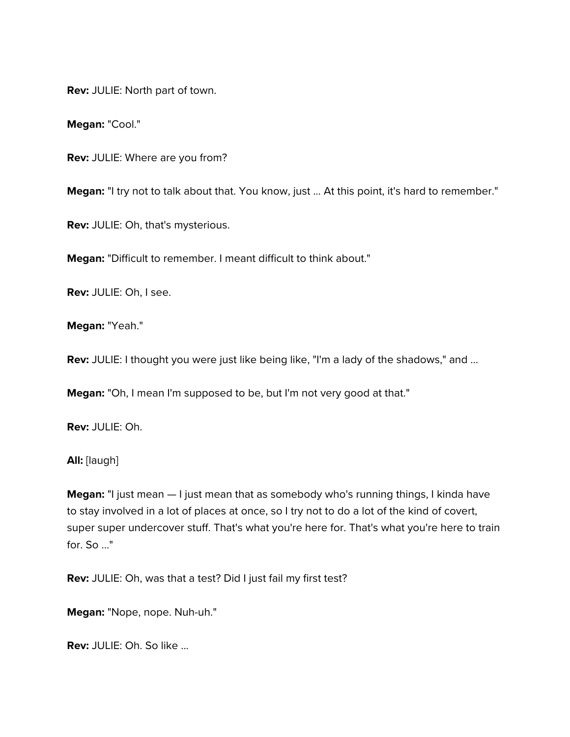**Rev:** JULIE: North part of town.

**Megan:** "Cool."

**Rev:** JULIE: Where are you from?

**Megan:** "I try not to talk about that. You know, just ... At this point, it's hard to remember."

**Rev:** JULIE: Oh, that's mysterious.

**Megan:** "Difficult to remember. I meant difficult to think about."

**Rev:** JULIE: Oh, I see.

**Megan:** "Yeah."

**Rev:** JULIE: I thought you were just like being like, "I'm a lady of the shadows," and ...

**Megan:** "Oh, I mean I'm supposed to be, but I'm not very good at that."

**Rev:** JULIE: Oh.

**All:** [laugh]

**Megan:** "I just mean  $-1$  just mean that as somebody who's running things, I kinda have to stay involved in a lot of places at once, so I try not to do a lot of the kind of covert, super super undercover stuff. That's what you're here for. That's what you're here to train for. So ..."

**Rev:** JULIE: Oh, was that a test? Did I just fail my first test?

**Megan:** "Nope, nope. Nuh-uh."

**Rev:** JULIE: Oh. So like ...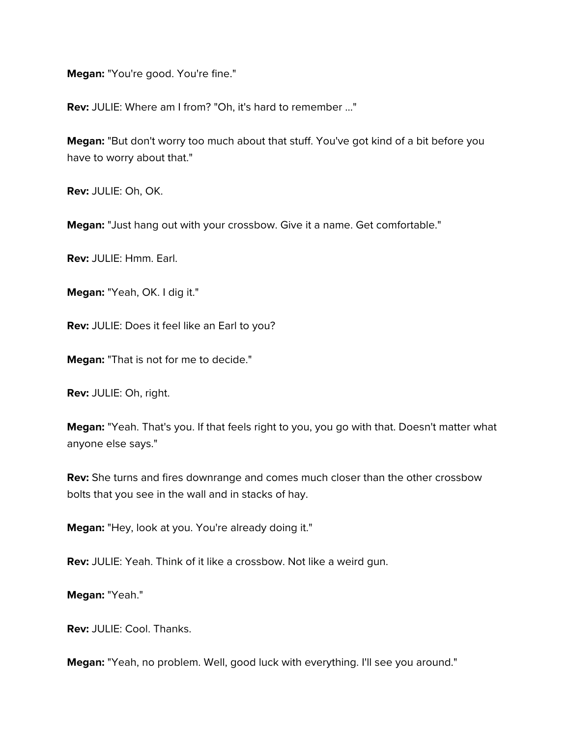**Megan:** "You're good. You're fine."

**Rev:** JULIE: Where am I from? "Oh, it's hard to remember ..."

**Megan:** "But don't worry too much about that stuff. You've got kind of a bit before you have to worry about that."

**Rev:** JULIE: Oh, OK.

**Megan:** "Just hang out with your crossbow. Give it a name. Get comfortable."

**Rev:** JULIE: Hmm. Earl.

**Megan:** "Yeah, OK. I dig it."

**Rev:** JULIE: Does it feel like an Earl to you?

**Megan:** "That is not for me to decide."

**Rev:** JULIE: Oh, right.

**Megan:** "Yeah. That's you. If that feels right to you, you go with that. Doesn't matter what anyone else says."

**Rev:** She turns and fires downrange and comes much closer than the other crossbow bolts that you see in the wall and in stacks of hay.

**Megan:** "Hey, look at you. You're already doing it."

**Rev:** JULIE: Yeah. Think of it like a crossbow. Not like a weird gun.

**Megan:** "Yeah."

**Rev:** JULIE: Cool. Thanks.

**Megan:** "Yeah, no problem. Well, good luck with everything. I'll see you around."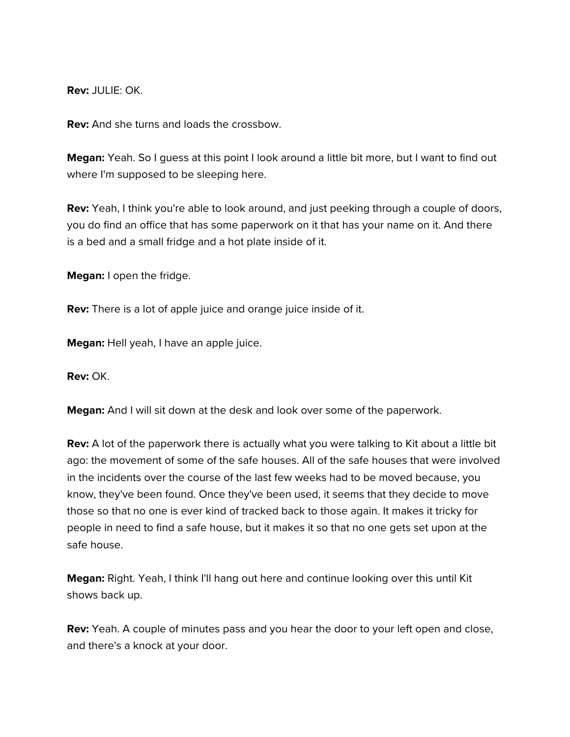**Rev:** JULIE: OK.

**Rev:** And she turns and loads the crossbow.

**Megan:** Yeah. So I guess at this point I look around a little bit more, but I want to find out where I'm supposed to be sleeping here.

**Rev:** Yeah, I think you're able to look around, and just peeking through a couple of doors, you do find an office that has some paperwork on it that has your name on it. And there is a bed and a small fridge and a hot plate inside of it.

**Megan:** I open the fridge.

**Rev:** There is a lot of apple juice and orange juice inside of it.

**Megan:** Hell yeah, I have an apple juice.

**Rev:** OK.

**Megan:** And I will sit down at the desk and look over some of the paperwork.

**Rev:** A lot of the paperwork there is actually what you were talking to Kit about a little bit ago: the movement of some of the safe houses. All of the safe houses that were involved in the incidents over the course of the last few weeks had to be moved because, you know, they've been found. Once they've been used, it seems that they decide to move those so that no one is ever kind of tracked back to those again. It makes it tricky for people in need to find a safe house, but it makes it so that no one gets set upon at the safe house.

**Megan:** Right. Yeah, I think I'll hang out here and continue looking over this until Kit shows back up.

**Rev:** Yeah. A couple of minutes pass and you hear the door to your left open and close, and there's a knock at your door.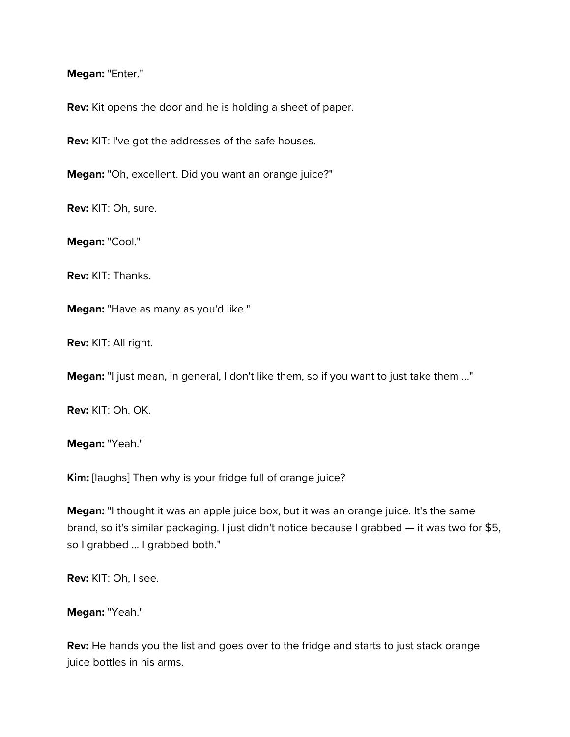#### **Megan:** "Enter."

**Rev:** Kit opens the door and he is holding a sheet of paper.

**Rev:** KIT: I've got the addresses of the safe houses.

**Megan:** "Oh, excellent. Did you want an orange juice?"

**Rev:** KIT: Oh, sure.

**Megan:** "Cool."

**Rev:** KIT: Thanks.

**Megan:** "Have as many as you'd like."

**Rev:** KIT: All right.

**Megan:** "I just mean, in general, I don't like them, so if you want to just take them ..."

**Rev:** KIT: Oh. OK.

**Megan:** "Yeah."

**Kim:** [laughs] Then why is your fridge full of orange juice?

**Megan:** "I thought it was an apple juice box, but it was an orange juice. It's the same brand, so it's similar packaging. I just didn't notice because I grabbed — it was two for \$5, so I grabbed ... I grabbed both."

**Rev:** KIT: Oh, I see.

**Megan:** "Yeah."

**Rev:** He hands you the list and goes over to the fridge and starts to just stack orange juice bottles in his arms.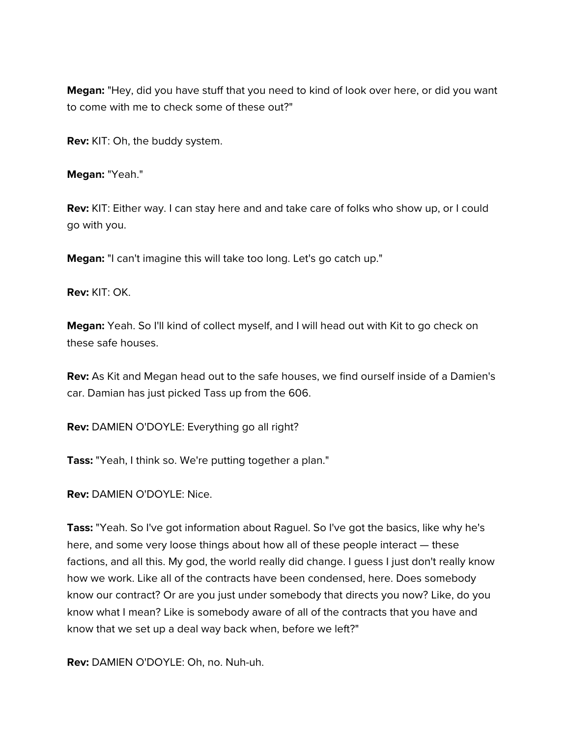**Megan:** "Hey, did you have stuff that you need to kind of look over here, or did you want to come with me to check some of these out?"

**Rev:** KIT: Oh, the buddy system.

**Megan:** "Yeah."

**Rev:** KIT: Either way. I can stay here and and take care of folks who show up, or I could go with you.

**Megan:** "I can't imagine this will take too long. Let's go catch up."

**Rev:** KIT: OK.

**Megan:** Yeah. So I'll kind of collect myself, and I will head out with Kit to go check on these safe houses.

**Rev:** As Kit and Megan head out to the safe houses, we find ourself inside of a Damien's car. Damian has just picked Tass up from the 606.

**Rev:** DAMIEN O'DOYLE: Everything go all right?

**Tass:** "Yeah, I think so. We're putting together a plan."

**Rev:** DAMIEN O'DOYLE: Nice.

**Tass:** "Yeah. So I've got information about Raguel. So I've got the basics, like why he's here, and some very loose things about how all of these people interact — these factions, and all this. My god, the world really did change. I guess I just don't really know how we work. Like all of the contracts have been condensed, here. Does somebody know our contract? Or are you just under somebody that directs you now? Like, do you know what I mean? Like is somebody aware of all of the contracts that you have and know that we set up a deal way back when, before we left?"

**Rev:** DAMIEN O'DOYLE: Oh, no. Nuh-uh.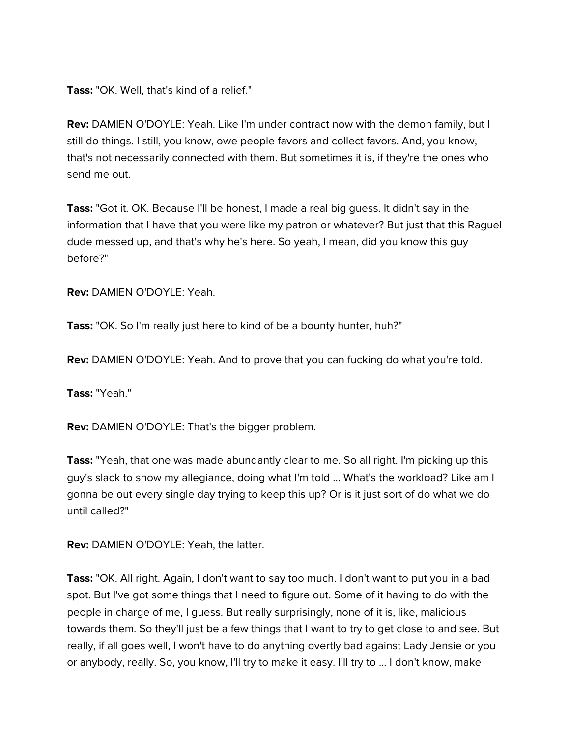**Tass:** "OK. Well, that's kind of a relief."

**Rev:** DAMIEN O'DOYLE: Yeah. Like I'm under contract now with the demon family, but I still do things. I still, you know, owe people favors and collect favors. And, you know, that's not necessarily connected with them. But sometimes it is, if they're the ones who send me out.

**Tass:** "Got it. OK. Because I'll be honest, I made a real big guess. It didn't say in the information that I have that you were like my patron or whatever? But just that this Raguel dude messed up, and that's why he's here. So yeah, I mean, did you know this guy before?"

**Rev:** DAMIEN O'DOYLE: Yeah.

**Tass:** "OK. So I'm really just here to kind of be a bounty hunter, huh?"

**Rev:** DAMIEN O'DOYLE: Yeah. And to prove that you can fucking do what you're told.

**Tass:** "Yeah."

**Rev:** DAMIEN O'DOYLE: That's the bigger problem.

**Tass:** "Yeah, that one was made abundantly clear to me. So all right. I'm picking up this guy's slack to show my allegiance, doing what I'm told ... What's the workload? Like am I gonna be out every single day trying to keep this up? Or is it just sort of do what we do until called?"

**Rev:** DAMIEN O'DOYLE: Yeah, the latter.

**Tass:** "OK. All right. Again, I don't want to say too much. I don't want to put you in a bad spot. But I've got some things that I need to figure out. Some of it having to do with the people in charge of me, I guess. But really surprisingly, none of it is, like, malicious towards them. So they'll just be a few things that I want to try to get close to and see. But really, if all goes well, I won't have to do anything overtly bad against Lady Jensie or you or anybody, really. So, you know, I'll try to make it easy. I'll try to ... I don't know, make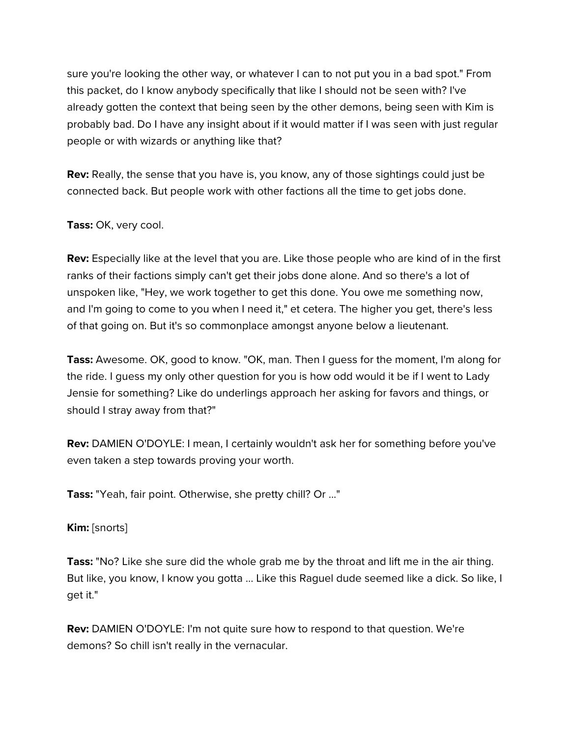sure you're looking the other way, or whatever I can to not put you in a bad spot." From this packet, do I know anybody specifically that like I should not be seen with? I've already gotten the context that being seen by the other demons, being seen with Kim is probably bad. Do I have any insight about if it would matter if I was seen with just regular people or with wizards or anything like that?

**Rev:** Really, the sense that you have is, you know, any of those sightings could just be connected back. But people work with other factions all the time to get jobs done.

**Tass:** OK, very cool.

**Rev:** Especially like at the level that you are. Like those people who are kind of in the first ranks of their factions simply can't get their jobs done alone. And so there's a lot of unspoken like, "Hey, we work together to get this done. You owe me something now, and I'm going to come to you when I need it," et cetera. The higher you get, there's less of that going on. But it's so commonplace amongst anyone below a lieutenant.

**Tass:** Awesome. OK, good to know. "OK, man. Then I guess for the moment, I'm along for the ride. I guess my only other question for you is how odd would it be if I went to Lady Jensie for something? Like do underlings approach her asking for favors and things, or should I stray away from that?"

**Rev:** DAMIEN O'DOYLE: I mean, I certainly wouldn't ask her for something before you've even taken a step towards proving your worth.

**Tass:** "Yeah, fair point. Otherwise, she pretty chill? Or ..."

**Kim:** [snorts]

**Tass:** "No? Like she sure did the whole grab me by the throat and lift me in the air thing. But like, you know, I know you gotta ... Like this Raguel dude seemed like a dick. So like, I get it."

**Rev:** DAMIEN O'DOYLE: I'm not quite sure how to respond to that question. We're demons? So chill isn't really in the vernacular.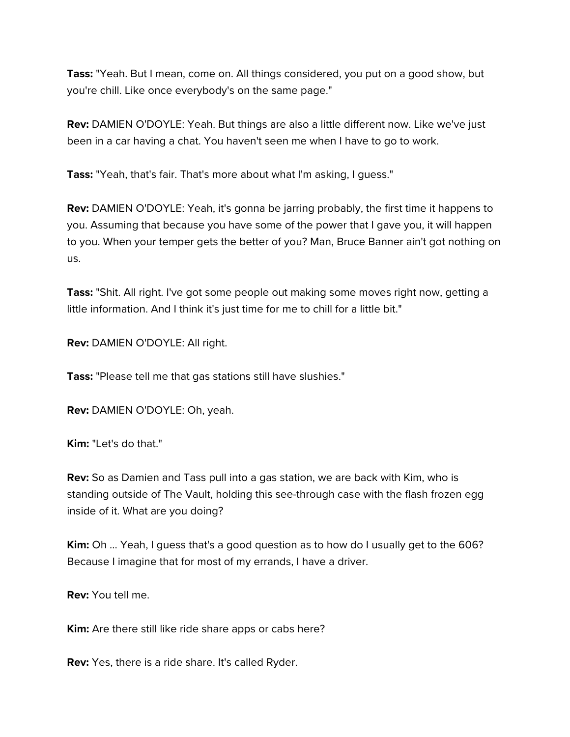**Tass:** "Yeah. But I mean, come on. All things considered, you put on a good show, but you're chill. Like once everybody's on the same page."

**Rev:** DAMIEN O'DOYLE: Yeah. But things are also a little different now. Like we've just been in a car having a chat. You haven't seen me when I have to go to work.

**Tass:** "Yeah, that's fair. That's more about what I'm asking, I guess."

**Rev:** DAMIEN O'DOYLE: Yeah, it's gonna be jarring probably, the first time it happens to you. Assuming that because you have some of the power that I gave you, it will happen to you. When your temper gets the better of you? Man, Bruce Banner ain't got nothing on us.

**Tass:** "Shit. All right. I've got some people out making some moves right now, getting a little information. And I think it's just time for me to chill for a little bit."

**Rev:** DAMIEN O'DOYLE: All right.

**Tass:** "Please tell me that gas stations still have slushies."

**Rev:** DAMIEN O'DOYLE: Oh, yeah.

**Kim:** "Let's do that."

**Rev:** So as Damien and Tass pull into a gas station, we are back with Kim, who is standing outside of The Vault, holding this see-through case with the flash frozen egg inside of it. What are you doing?

**Kim:** Oh ... Yeah, I guess that's a good question as to how do I usually get to the 606? Because I imagine that for most of my errands, I have a driver.

**Rev:** You tell me.

**Kim:** Are there still like ride share apps or cabs here?

**Rev:** Yes, there is a ride share. It's called Ryder.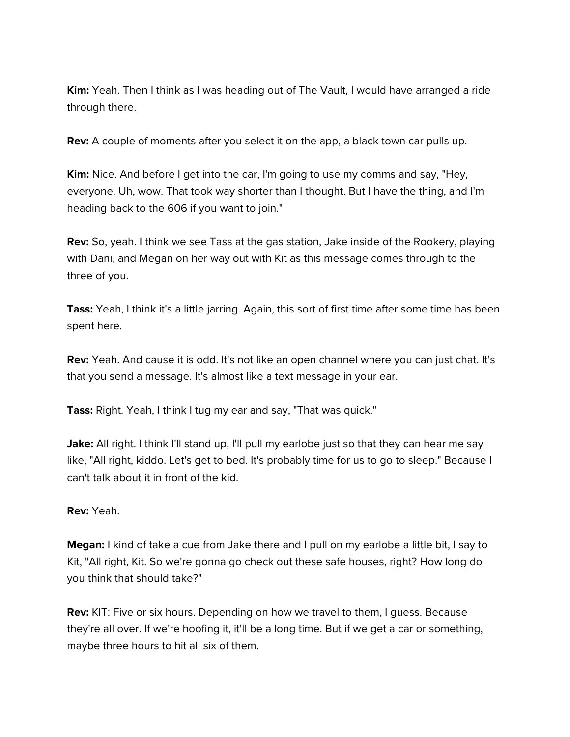**Kim:** Yeah. Then I think as I was heading out of The Vault, I would have arranged a ride through there.

**Rev:** A couple of moments after you select it on the app, a black town car pulls up.

**Kim:** Nice. And before I get into the car, I'm going to use my comms and say, "Hey, everyone. Uh, wow. That took way shorter than I thought. But I have the thing, and I'm heading back to the 606 if you want to join."

**Rev:** So, yeah. I think we see Tass at the gas station, Jake inside of the Rookery, playing with Dani, and Megan on her way out with Kit as this message comes through to the three of you.

**Tass:** Yeah, I think it's a little jarring. Again, this sort of first time after some time has been spent here.

**Rev:** Yeah. And cause it is odd. It's not like an open channel where you can just chat. It's that you send a message. It's almost like a text message in your ear.

**Tass:** Right. Yeah, I think I tug my ear and say, "That was quick."

**Jake:** All right. I think I'll stand up, I'll pull my earlobe just so that they can hear me say like, "All right, kiddo. Let's get to bed. It's probably time for us to go to sleep." Because I can't talk about it in front of the kid.

**Rev:** Yeah.

**Megan:** I kind of take a cue from Jake there and I pull on my earlobe a little bit, I say to Kit, "All right, Kit. So we're gonna go check out these safe houses, right? How long do you think that should take?"

**Rev:** KIT: Five or six hours. Depending on how we travel to them, I guess. Because they're all over. If we're hoofing it, it'll be a long time. But if we get a car or something, maybe three hours to hit all six of them.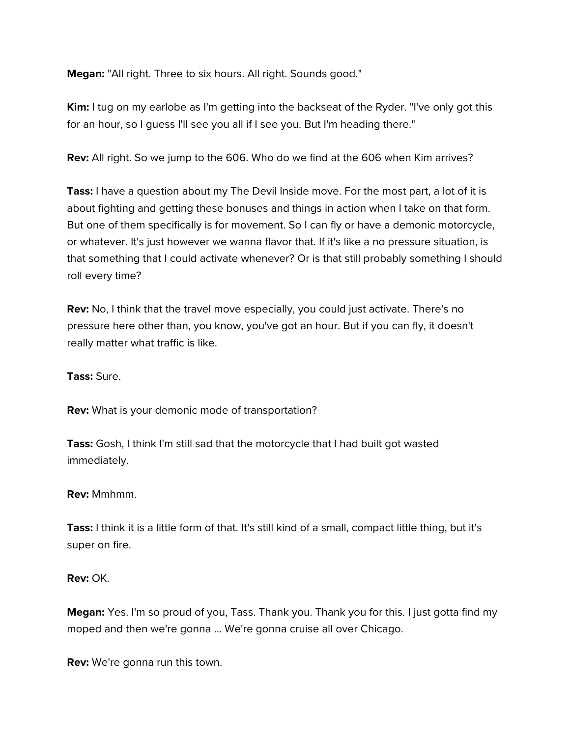**Megan:** "All right. Three to six hours. All right. Sounds good."

**Kim:** I tug on my earlobe as I'm getting into the backseat of the Ryder. "I've only got this for an hour, so I guess I'll see you all if I see you. But I'm heading there."

**Rev:** All right. So we jump to the 606. Who do we find at the 606 when Kim arrives?

**Tass:** I have a question about my The Devil Inside move. For the most part, a lot of it is about fighting and getting these bonuses and things in action when I take on that form. But one of them specifically is for movement. So I can fly or have a demonic motorcycle, or whatever. It's just however we wanna flavor that. If it's like a no pressure situation, is that something that I could activate whenever? Or is that still probably something I should roll every time?

**Rev:** No, I think that the travel move especially, you could just activate. There's no pressure here other than, you know, you've got an hour. But if you can fly, it doesn't really matter what traffic is like.

**Tass:** Sure.

**Rev:** What is your demonic mode of transportation?

**Tass:** Gosh, I think I'm still sad that the motorcycle that I had built got wasted immediately.

### **Rev:** Mmhmm.

**Tass:** I think it is a little form of that. It's still kind of a small, compact little thing, but it's super on fire.

**Rev:** OK.

**Megan:** Yes. I'm so proud of you, Tass. Thank you. Thank you for this. I just gotta find my moped and then we're gonna ... We're gonna cruise all over Chicago.

**Rev:** We're gonna run this town.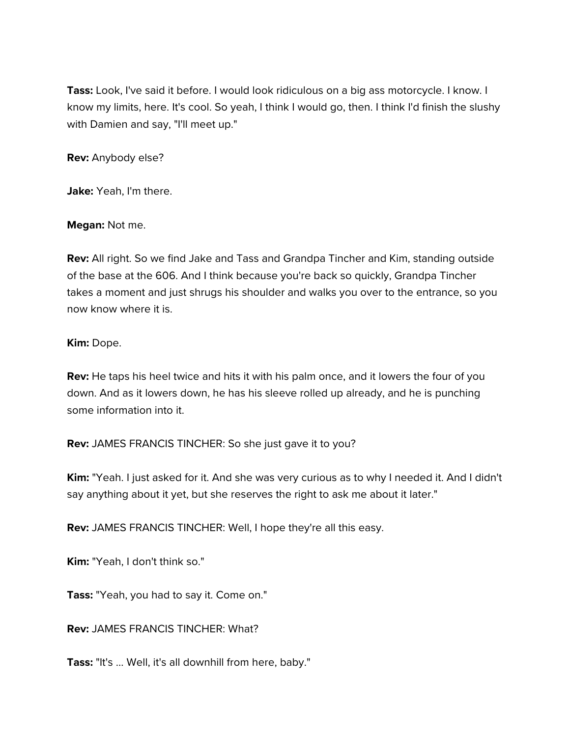**Tass:** Look, I've said it before. I would look ridiculous on a big ass motorcycle. I know. I know my limits, here. It's cool. So yeah, I think I would go, then. I think I'd finish the slushy with Damien and say, "I'll meet up."

**Rev:** Anybody else?

**Jake:** Yeah, I'm there.

**Megan:** Not me.

**Rev:** All right. So we find Jake and Tass and Grandpa Tincher and Kim, standing outside of the base at the 606. And I think because you're back so quickly, Grandpa Tincher takes a moment and just shrugs his shoulder and walks you over to the entrance, so you now know where it is.

#### **Kim:** Dope.

**Rev:** He taps his heel twice and hits it with his palm once, and it lowers the four of you down. And as it lowers down, he has his sleeve rolled up already, and he is punching some information into it.

**Rev:** JAMES FRANCIS TINCHER: So she just gave it to you?

**Kim:** "Yeah. I just asked for it. And she was very curious as to why I needed it. And I didn't say anything about it yet, but she reserves the right to ask me about it later."

**Rev:** JAMES FRANCIS TINCHER: Well, I hope they're all this easy.

**Kim:** "Yeah, I don't think so."

**Tass:** "Yeah, you had to say it. Come on."

**Rev:** JAMES FRANCIS TINCHER: What?

**Tass:** "It's ... Well, it's all downhill from here, baby."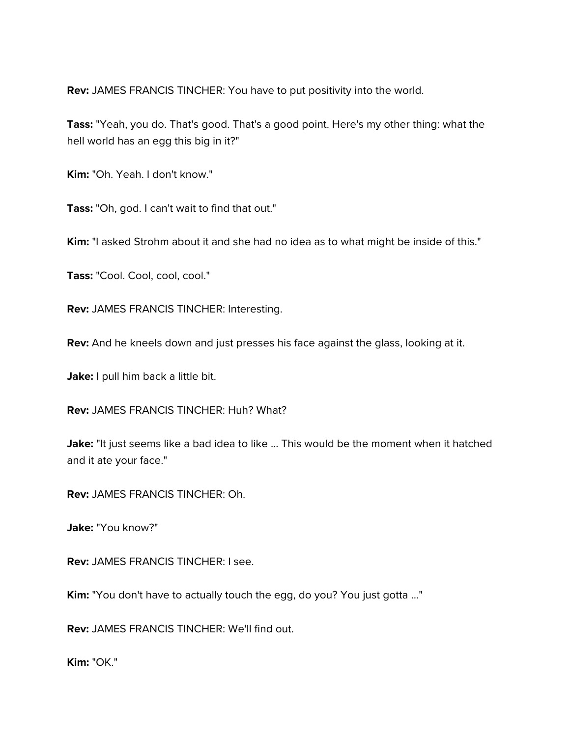**Rev:** JAMES FRANCIS TINCHER: You have to put positivity into the world.

**Tass:** "Yeah, you do. That's good. That's a good point. Here's my other thing: what the hell world has an egg this big in it?"

**Kim:** "Oh. Yeah. I don't know."

**Tass:** "Oh, god. I can't wait to find that out."

**Kim:** "I asked Strohm about it and she had no idea as to what might be inside of this."

**Tass:** "Cool. Cool, cool, cool."

**Rev:** JAMES FRANCIS TINCHER: Interesting.

**Rev:** And he kneels down and just presses his face against the glass, looking at it.

Jake: I pull him back a little bit.

**Rev:** JAMES FRANCIS TINCHER: Huh? What?

Jake: "It just seems like a bad idea to like ... This would be the moment when it hatched and it ate your face."

**Rev:** JAMES FRANCIS TINCHER: Oh.

**Jake:** "You know?"

**Rev:** JAMES FRANCIS TINCHER: I see.

**Kim:** "You don't have to actually touch the egg, do you? You just gotta ..."

**Rev:** JAMES FRANCIS TINCHER: We'll find out.

**Kim:** "OK."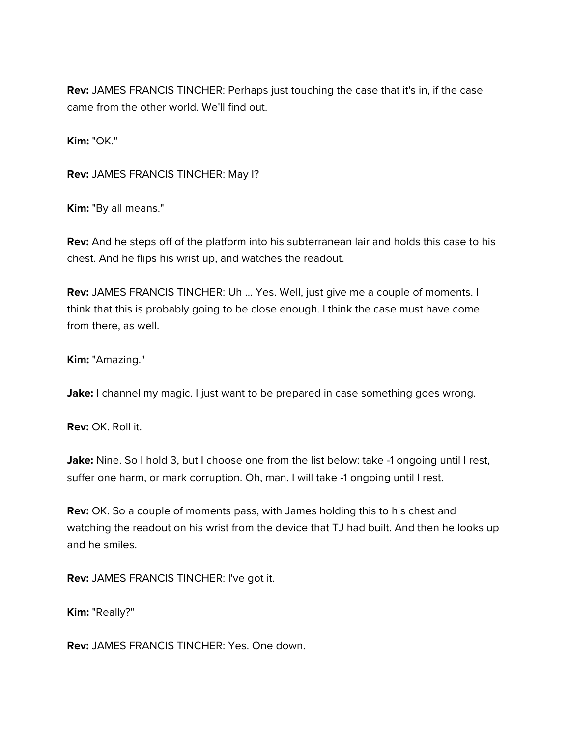**Rev:** JAMES FRANCIS TINCHER: Perhaps just touching the case that it's in, if the case came from the other world. We'll find out.

**Kim:** "OK."

**Rev:** JAMES FRANCIS TINCHER: May I?

**Kim:** "By all means."

**Rev:** And he steps off of the platform into his subterranean lair and holds this case to his chest. And he flips his wrist up, and watches the readout.

**Rev:** JAMES FRANCIS TINCHER: Uh ... Yes. Well, just give me a couple of moments. I think that this is probably going to be close enough. I think the case must have come from there, as well.

**Kim:** "Amazing."

**Jake:** I channel my magic. I just want to be prepared in case something goes wrong.

**Rev:** OK. Roll it.

Jake: Nine. So I hold 3, but I choose one from the list below: take -1 ongoing until I rest, suffer one harm, or mark corruption. Oh, man. I will take -1 ongoing until I rest.

**Rev:** OK. So a couple of moments pass, with James holding this to his chest and watching the readout on his wrist from the device that TJ had built. And then he looks up and he smiles.

**Rev:** JAMES FRANCIS TINCHER: I've got it.

**Kim:** "Really?"

**Rev:** JAMES FRANCIS TINCHER: Yes. One down.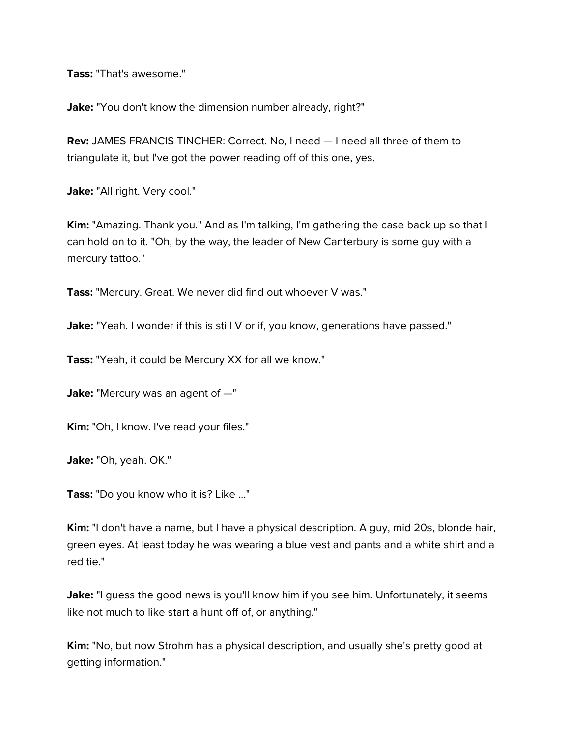**Tass:** "That's awesome."

**Jake:** "You don't know the dimension number already, right?"

**Rev:** JAMES FRANCIS TINCHER: Correct. No, I need — I need all three of them to triangulate it, but I've got the power reading off of this one, yes.

Jake: "All right. Very cool."

**Kim:** "Amazing. Thank you." And as I'm talking, I'm gathering the case back up so that I can hold on to it. "Oh, by the way, the leader of New Canterbury is some guy with a mercury tattoo."

**Tass:** "Mercury. Great. We never did find out whoever V was."

Jake: "Yeah. I wonder if this is still V or if, you know, generations have passed."

**Tass:** "Yeah, it could be Mercury XX for all we know."

**Jake:** "Mercury was an agent of -"

**Kim:** "Oh, I know. I've read your files."

**Jake:** "Oh, yeah. OK."

**Tass:** "Do you know who it is? Like ..."

**Kim:** "I don't have a name, but I have a physical description. A guy, mid 20s, blonde hair, green eyes. At least today he was wearing a blue vest and pants and a white shirt and a red tie."

Jake: "I guess the good news is you'll know him if you see him. Unfortunately, it seems like not much to like start a hunt off of, or anything."

**Kim:** "No, but now Strohm has a physical description, and usually she's pretty good at getting information."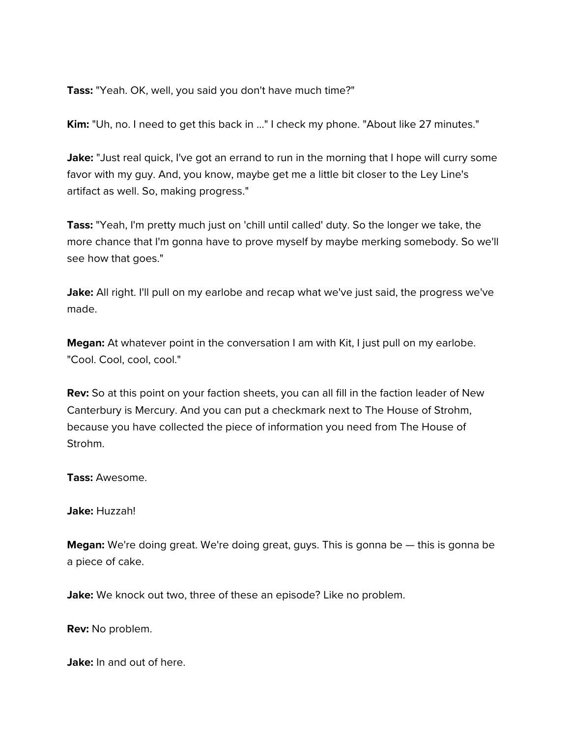**Tass:** "Yeah. OK, well, you said you don't have much time?"

**Kim:** "Uh, no. I need to get this back in ..." I check my phone. "About like 27 minutes."

**Jake:** "Just real quick, I've got an errand to run in the morning that I hope will curry some favor with my guy. And, you know, maybe get me a little bit closer to the Ley Line's artifact as well. So, making progress."

**Tass:** "Yeah, I'm pretty much just on 'chill until called' duty. So the longer we take, the more chance that I'm gonna have to prove myself by maybe merking somebody. So we'll see how that goes."

**Jake:** All right. I'll pull on my earlobe and recap what we've just said, the progress we've made.

**Megan:** At whatever point in the conversation I am with Kit, I just pull on my earlobe. "Cool. Cool, cool, cool."

**Rev:** So at this point on your faction sheets, you can all fill in the faction leader of New Canterbury is Mercury. And you can put a checkmark next to The House of Strohm, because you have collected the piece of information you need from The House of Strohm.

**Tass:** Awesome.

**Jake:** Huzzah!

**Megan:** We're doing great. We're doing great, guys. This is gonna be — this is gonna be a piece of cake.

Jake: We knock out two, three of these an episode? Like no problem.

**Rev:** No problem.

**Jake:** In and out of here.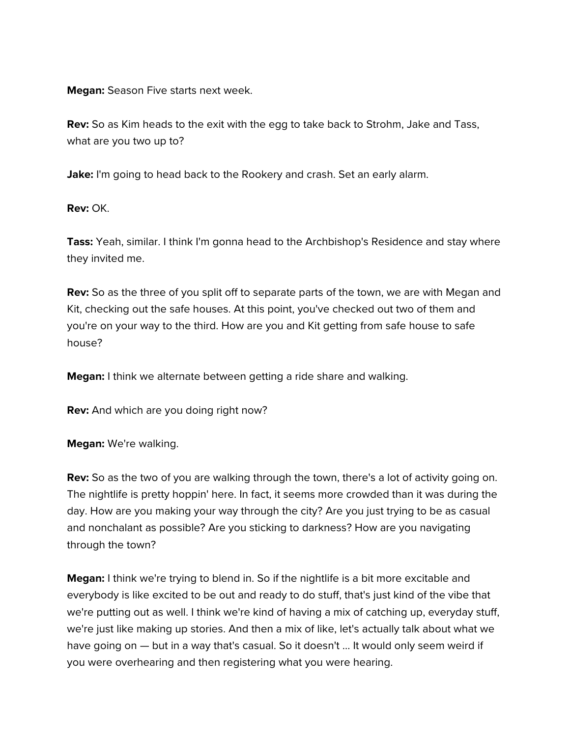**Megan:** Season Five starts next week.

**Rev:** So as Kim heads to the exit with the egg to take back to Strohm, Jake and Tass, what are you two up to?

**Jake:** I'm going to head back to the Rookery and crash. Set an early alarm.

**Rev:** OK.

**Tass:** Yeah, similar. I think I'm gonna head to the Archbishop's Residence and stay where they invited me.

**Rev:** So as the three of you split off to separate parts of the town, we are with Megan and Kit, checking out the safe houses. At this point, you've checked out two of them and you're on your way to the third. How are you and Kit getting from safe house to safe house?

**Megan:** I think we alternate between getting a ride share and walking.

**Rev:** And which are you doing right now?

**Megan:** We're walking.

**Rev:** So as the two of you are walking through the town, there's a lot of activity going on. The nightlife is pretty hoppin' here. In fact, it seems more crowded than it was during the day. How are you making your way through the city? Are you just trying to be as casual and nonchalant as possible? Are you sticking to darkness? How are you navigating through the town?

**Megan:** I think we're trying to blend in. So if the nightlife is a bit more excitable and everybody is like excited to be out and ready to do stuff, that's just kind of the vibe that we're putting out as well. I think we're kind of having a mix of catching up, everyday stuff, we're just like making up stories. And then a mix of like, let's actually talk about what we have going on — but in a way that's casual. So it doesn't ... It would only seem weird if you were overhearing and then registering what you were hearing.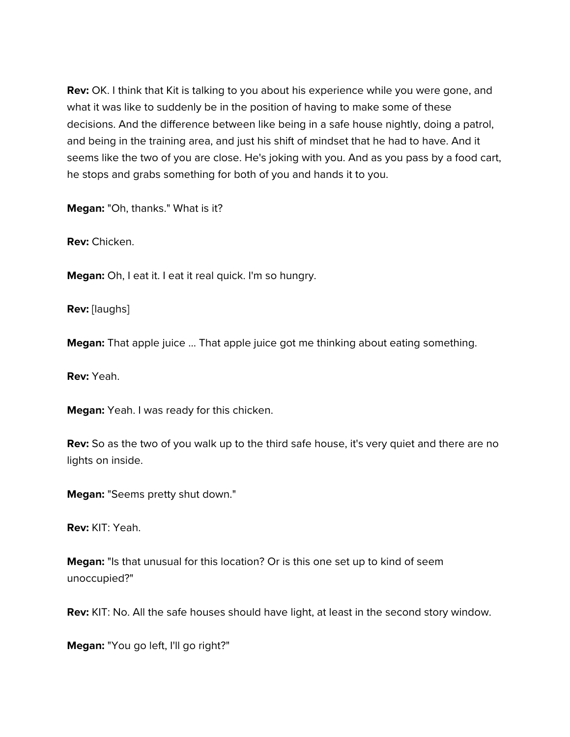**Rev:** OK. I think that Kit is talking to you about his experience while you were gone, and what it was like to suddenly be in the position of having to make some of these decisions. And the difference between like being in a safe house nightly, doing a patrol, and being in the training area, and just his shift of mindset that he had to have. And it seems like the two of you are close. He's joking with you. And as you pass by a food cart, he stops and grabs something for both of you and hands it to you.

**Megan:** "Oh, thanks." What is it?

**Rev:** Chicken.

**Megan:** Oh, I eat it. I eat it real quick. I'm so hungry.

**Rev:** [laughs]

**Megan:** That apple juice ... That apple juice got me thinking about eating something.

**Rev:** Yeah.

**Megan:** Yeah. I was ready for this chicken.

**Rev:** So as the two of you walk up to the third safe house, it's very quiet and there are no lights on inside.

**Megan:** "Seems pretty shut down."

**Rev:** KIT: Yeah.

**Megan:** "Is that unusual for this location? Or is this one set up to kind of seem unoccupied?"

**Rev:** KIT: No. All the safe houses should have light, at least in the second story window.

**Megan:** "You go left, I'll go right?"